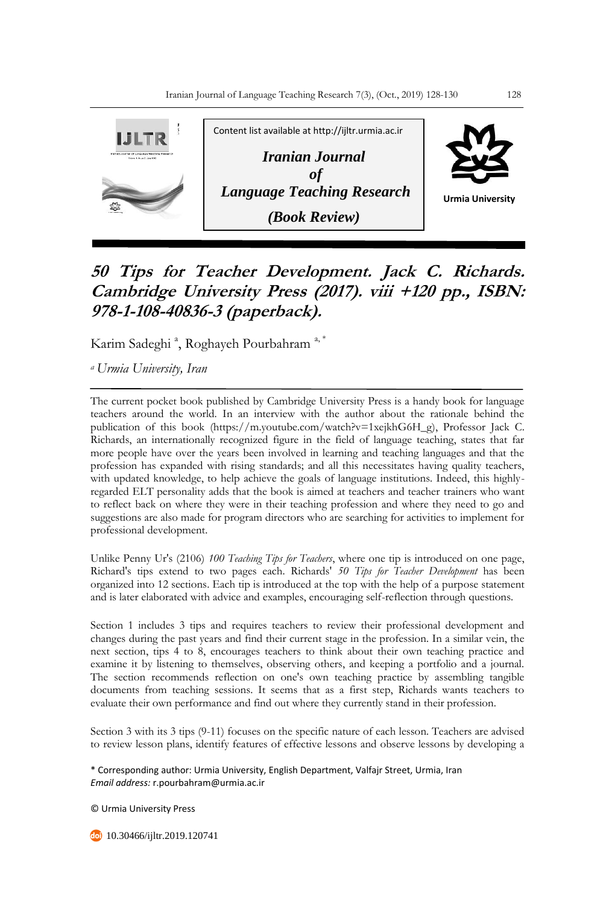

## **50 Tips for Teacher Development. Jack C. Richards. Cambridge University Press (2017). viii +120 pp., ISBN: 978-1-108-40836-3 (paperback).**

Karim Sadeghi<sup>a</sup>, Roghayeh Pourbahram<sup>a,\*</sup>

*<sup>a</sup>Urmia University, Iran*

The current pocket book published by Cambridge University Press is a handy book for language teachers around the world. In an interview with the author about the rationale behind the publication of this book (https://m.youtube.com/watch?v=1xejkhG6H\_g), Professor Jack C. Richards, an internationally recognized figure in the field of language teaching, states that far more people have over the years been involved in learning and teaching languages and that the profession has expanded with rising standards; and all this necessitates having quality teachers, with updated knowledge, to help achieve the goals of language institutions. Indeed, this highlyregarded ELT personality adds that the book is aimed at teachers and teacher trainers who want to reflect back on where they were in their teaching profession and where they need to go and suggestions are also made for program directors who are searching for activities to implement for professional development.

Unlike Penny Ur's (2106) *100 Teaching Tips for Teachers*, where one tip is introduced on one page, Richard's tips extend to two pages each. Richards' *50 Tips for Teacher Development* has been organized into 12 sections. Each tip is introduced at the top with the help of a purpose statement and is later elaborated with advice and examples, encouraging self-reflection through questions.

Section 1 includes 3 tips and requires teachers to review their professional development and changes during the past years and find their current stage in the profession. In a similar vein, the next section, tips 4 to 8, encourages teachers to think about their own teaching practice and examine it by listening to themselves, observing others, and keeping a portfolio and a journal. The section recommends reflection on one's own teaching practice by assembling tangible documents from teaching sessions. It seems that as a first step, Richards wants teachers to evaluate their own performance and find out where they currently stand in their profession.

Section 3 with its 3 tips (9-11) focuses on the specific nature of each lesson. Teachers are advised to review lesson plans, identify features of effective lessons and observe lessons by developing a

\* Corresponding author: Urmia University, English Department, Valfajr Street, Urmia, Iran *Email address:* r.pourbahram@urmia.ac.ir

© Urmia University Press

10.30466/ijltr.2019.120741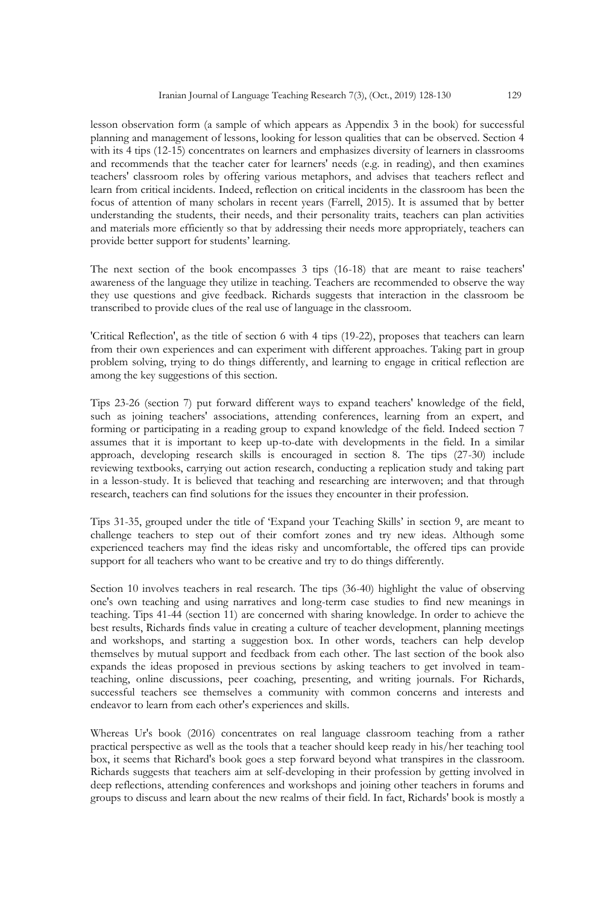lesson observation form (a sample of which appears as Appendix 3 in the book) for successful planning and management of lessons, looking for lesson qualities that can be observed. Section 4 with its 4 tips (12-15) concentrates on learners and emphasizes diversity of learners in classrooms and recommends that the teacher cater for learners' needs (e.g. in reading), and then examines teachers' classroom roles by offering various metaphors, and advises that teachers reflect and learn from critical incidents. Indeed, reflection on critical incidents in the classroom has been the focus of attention of many scholars in recent years (Farrell, 2015). It is assumed that by better understanding the students, their needs, and their personality traits, teachers can plan activities and materials more efficiently so that by addressing their needs more appropriately, teachers can provide better support for students' learning.

The next section of the book encompasses 3 tips (16-18) that are meant to raise teachers' awareness of the language they utilize in teaching. Teachers are recommended to observe the way they use questions and give feedback. Richards suggests that interaction in the classroom be transcribed to provide clues of the real use of language in the classroom.

'Critical Reflection', as the title of section 6 with 4 tips (19-22), proposes that teachers can learn from their own experiences and can experiment with different approaches. Taking part in group problem solving, trying to do things differently, and learning to engage in critical reflection are among the key suggestions of this section.

Tips 23-26 (section 7) put forward different ways to expand teachers' knowledge of the field, such as joining teachers' associations, attending conferences, learning from an expert, and forming or participating in a reading group to expand knowledge of the field. Indeed section 7 assumes that it is important to keep up-to-date with developments in the field. In a similar approach, developing research skills is encouraged in section 8. The tips (27-30) include reviewing textbooks, carrying out action research, conducting a replication study and taking part in a lesson-study. It is believed that teaching and researching are interwoven; and that through research, teachers can find solutions for the issues they encounter in their profession.

Tips 31-35, grouped under the title of 'Expand your Teaching Skills' in section 9, are meant to challenge teachers to step out of their comfort zones and try new ideas. Although some experienced teachers may find the ideas risky and uncomfortable, the offered tips can provide support for all teachers who want to be creative and try to do things differently.

Section 10 involves teachers in real research. The tips (36-40) highlight the value of observing one's own teaching and using narratives and long-term case studies to find new meanings in teaching. Tips 41-44 (section 11) are concerned with sharing knowledge. In order to achieve the best results, Richards finds value in creating a culture of teacher development, planning meetings and workshops, and starting a suggestion box. In other words, teachers can help develop themselves by mutual support and feedback from each other. The last section of the book also expands the ideas proposed in previous sections by asking teachers to get involved in teamteaching, online discussions, peer coaching, presenting, and writing journals. For Richards, successful teachers see themselves a community with common concerns and interests and endeavor to learn from each other's experiences and skills.

Whereas Ur's book (2016) concentrates on real language classroom teaching from a rather practical perspective as well as the tools that a teacher should keep ready in his/her teaching tool box, it seems that Richard's book goes a step forward beyond what transpires in the classroom. Richards suggests that teachers aim at self-developing in their profession by getting involved in deep reflections, attending conferences and workshops and joining other teachers in forums and groups to discuss and learn about the new realms of their field. In fact, Richards' book is mostly a